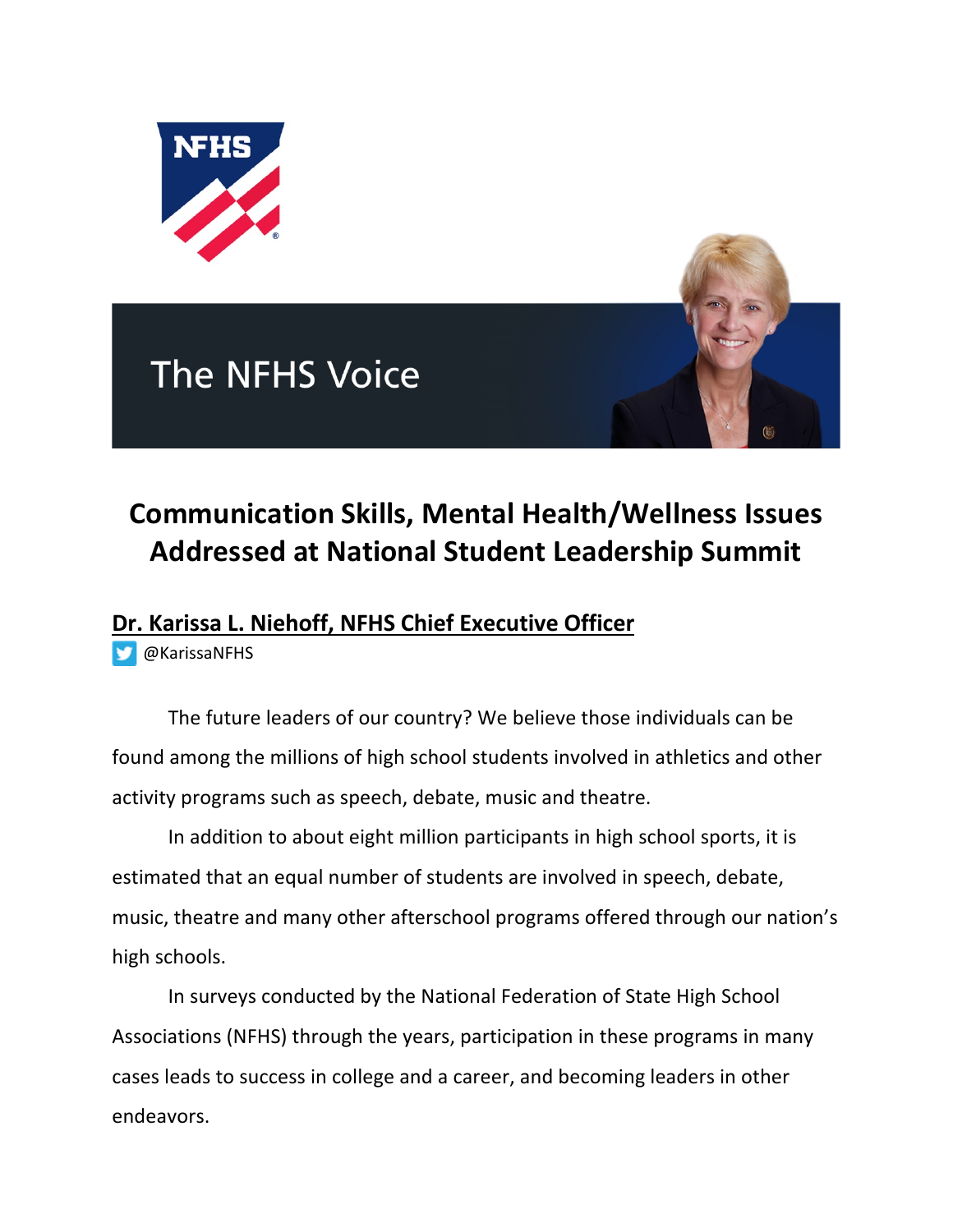

## **The NFHS Voice**

## **Communication Skills, Mental Health/Wellness Issues Addressed at National Student Leadership Summit**

## **Dr. Karissa L. Niehoff, NFHS Chief Executive Officer**

@KarissaNFHS

The future leaders of our country? We believe those individuals can be found among the millions of high school students involved in athletics and other activity programs such as speech, debate, music and theatre.

In addition to about eight million participants in high school sports, it is estimated that an equal number of students are involved in speech, debate, music, theatre and many other afterschool programs offered through our nation's high schools.

In surveys conducted by the National Federation of State High School Associations (NFHS) through the years, participation in these programs in many cases leads to success in college and a career, and becoming leaders in other endeavors.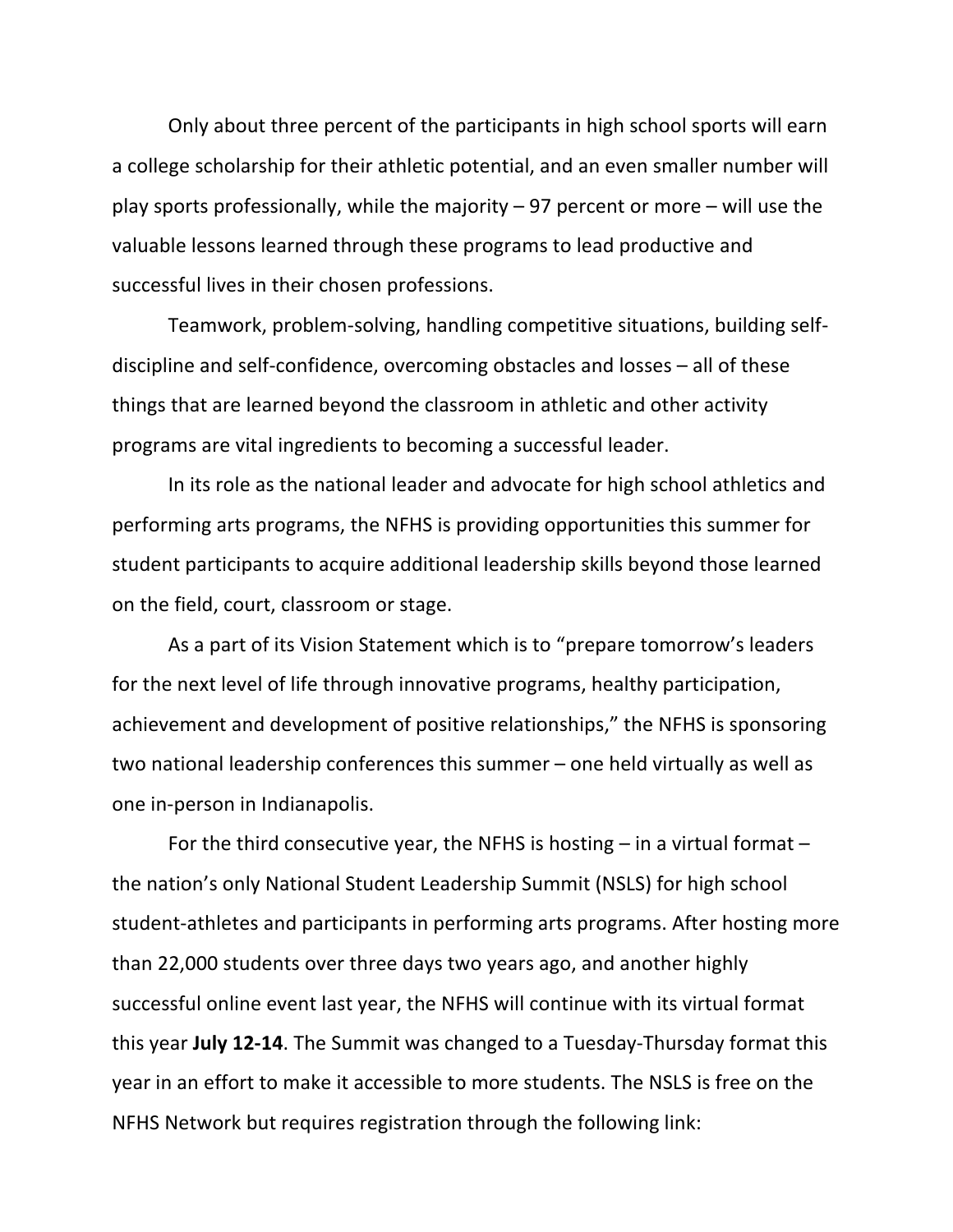Only about three percent of the participants in high school sports will earn a college scholarship for their athletic potential, and an even smaller number will play sports professionally, while the majority – 97 percent or more – will use the valuable lessons learned through these programs to lead productive and successful lives in their chosen professions.

Teamwork, problem-solving, handling competitive situations, building selfdiscipline and self-confidence, overcoming obstacles and losses – all of these things that are learned beyond the classroom in athletic and other activity programs are vital ingredients to becoming a successful leader.

In its role as the national leader and advocate for high school athletics and performing arts programs, the NFHS is providing opportunities this summer for student participants to acquire additional leadership skills beyond those learned on the field, court, classroom or stage.

As a part of its Vision Statement which is to "prepare tomorrow's leaders for the next level of life through innovative programs, healthy participation, achievement and development of positive relationships," the NFHS is sponsoring two national leadership conferences this summer – one held virtually as well as one in-person in Indianapolis.

For the third consecutive year, the NFHS is hosting  $-$  in a virtual format  $$ the nation's only National Student Leadership Summit (NSLS) for high school student-athletes and participants in performing arts programs. After hosting more than 22,000 students over three days two years ago, and another highly successful online event last year, the NFHS will continue with its virtual format this year **July 12-14**. The Summit was changed to a Tuesday-Thursday format this year in an effort to make it accessible to more students. The NSLS is free on the NFHS Network but requires registration through the following link: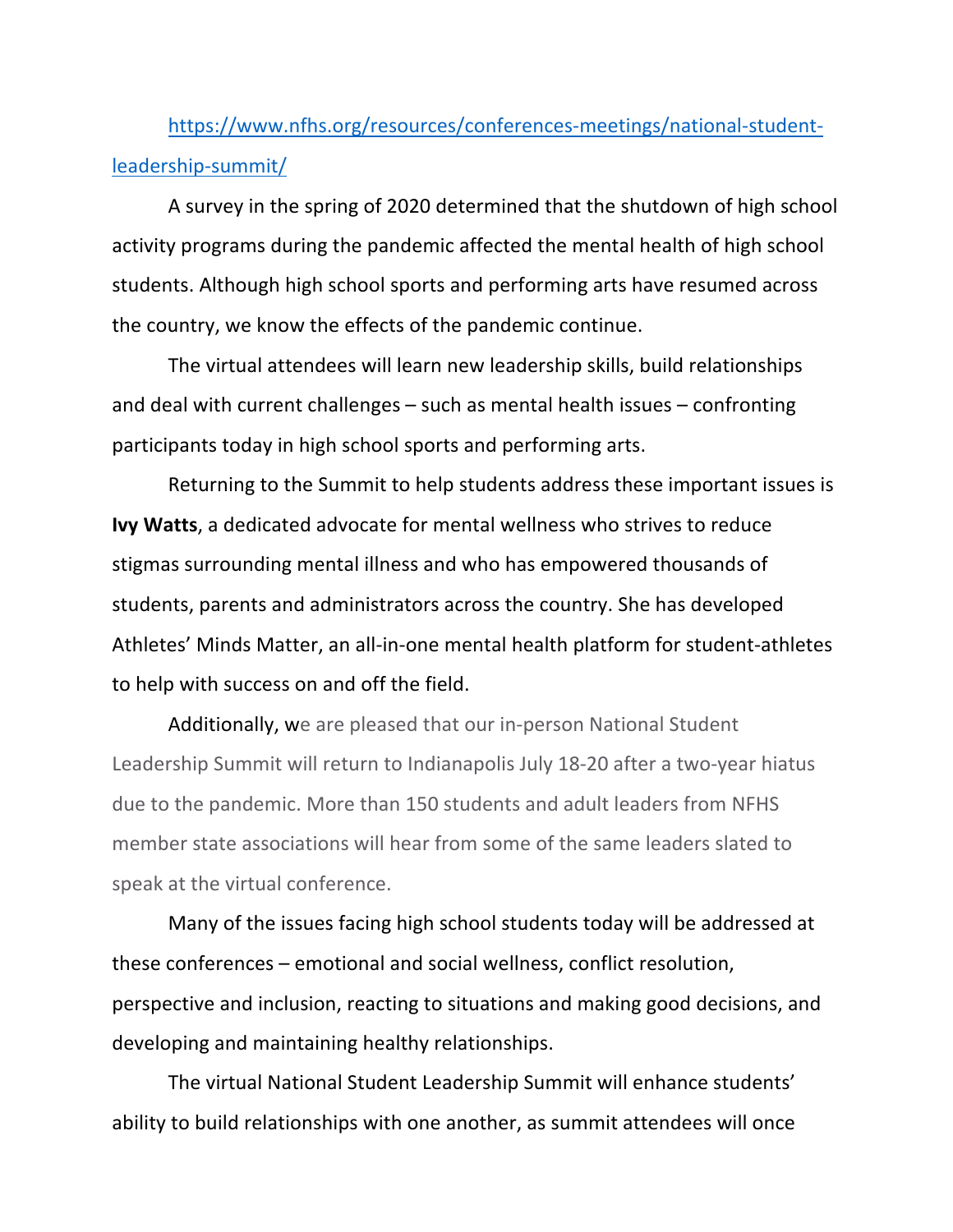https://www.nfhs.org/resources/conferences-meetings/national-studentleadership-summit/

A survey in the spring of 2020 determined that the shutdown of high school activity programs during the pandemic affected the mental health of high school students. Although high school sports and performing arts have resumed across the country, we know the effects of the pandemic continue.

The virtual attendees will learn new leadership skills, build relationships and deal with current challenges – such as mental health issues – confronting participants today in high school sports and performing arts.

Returning to the Summit to help students address these important issues is **Ivy Watts**, a dedicated advocate for mental wellness who strives to reduce stigmas surrounding mental illness and who has empowered thousands of students, parents and administrators across the country. She has developed Athletes' Minds Matter, an all-in-one mental health platform for student-athletes to help with success on and off the field.

Additionally, we are pleased that our in-person National Student Leadership Summit will return to Indianapolis July 18-20 after a two-year hiatus due to the pandemic. More than 150 students and adult leaders from NFHS member state associations will hear from some of the same leaders slated to speak at the virtual conference.

Many of the issues facing high school students today will be addressed at these conferences – emotional and social wellness, conflict resolution, perspective and inclusion, reacting to situations and making good decisions, and developing and maintaining healthy relationships.

The virtual National Student Leadership Summit will enhance students' ability to build relationships with one another, as summit attendees will once